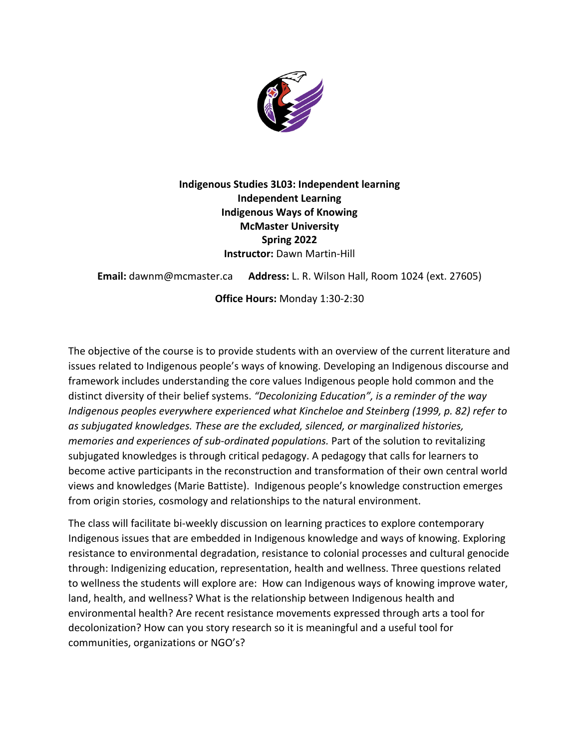

**Indigenous Studies 3L03: Independent learning Independent Learning Indigenous Ways of Knowing McMaster University Spring 2022 Instructor:** Dawn Martin-Hill

**Email:** dawnm@mcmaster.ca **Address:** L. R. Wilson Hall, Room 1024 (ext. 27605)

**Office Hours:** Monday 1:30-2:30

The objective of the course is to provide students with an overview of the current literature and issues related to Indigenous people's ways of knowing. Developing an Indigenous discourse and framework includes understanding the core values Indigenous people hold common and the distinct diversity of their belief systems. *"Decolonizing Education", is a reminder of the way Indigenous peoples everywhere experienced what Kincheloe and Steinberg (1999, p. 82) refer to as subjugated knowledges. These are the excluded, silenced, or marginalized histories, memories and experiences of sub-ordinated populations.* Part of the solution to revitalizing subjugated knowledges is through critical pedagogy. A pedagogy that calls for learners to become active participants in the reconstruction and transformation of their own central world views and knowledges (Marie Battiste). Indigenous people's knowledge construction emerges from origin stories, cosmology and relationships to the natural environment.

The class will facilitate bi-weekly discussion on learning practices to explore contemporary Indigenous issues that are embedded in Indigenous knowledge and ways of knowing. Exploring resistance to environmental degradation, resistance to colonial processes and cultural genocide through: Indigenizing education, representation, health and wellness. Three questions related to wellness the students will explore are: How can Indigenous ways of knowing improve water, land, health, and wellness? What is the relationship between Indigenous health and environmental health? Are recent resistance movements expressed through arts a tool for decolonization? How can you story research so it is meaningful and a useful tool for communities, organizations or NGO's?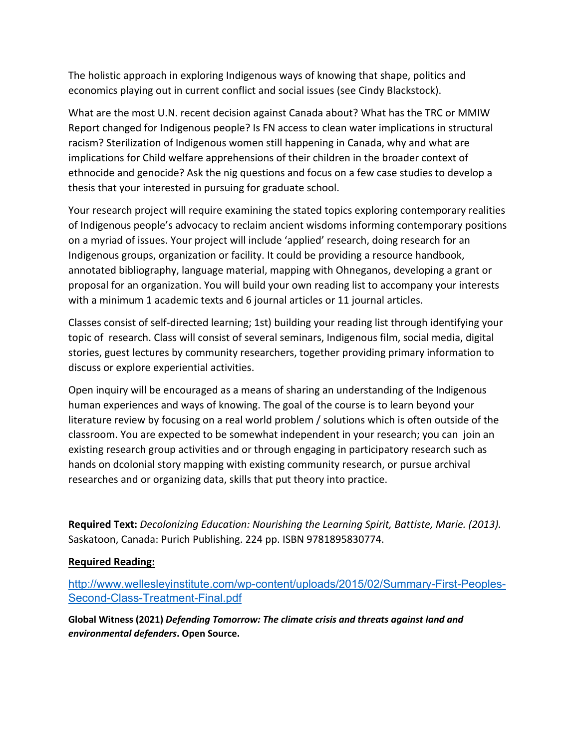The holistic approach in exploring Indigenous ways of knowing that shape, politics and economics playing out in current conflict and social issues (see Cindy Blackstock).

What are the most U.N. recent decision against Canada about? What has the TRC or MMIW Report changed for Indigenous people? Is FN access to clean water implications in structural racism? Sterilization of Indigenous women still happening in Canada, why and what are implications for Child welfare apprehensions of their children in the broader context of ethnocide and genocide? Ask the nig questions and focus on a few case studies to develop a thesis that your interested in pursuing for graduate school.

Your research project will require examining the stated topics exploring contemporary realities of Indigenous people's advocacy to reclaim ancient wisdoms informing contemporary positions on a myriad of issues. Your project will include 'applied' research, doing research for an Indigenous groups, organization or facility. It could be providing a resource handbook, annotated bibliography, language material, mapping with Ohneganos, developing a grant or proposal for an organization. You will build your own reading list to accompany your interests with a minimum 1 academic texts and 6 journal articles or 11 journal articles.

Classes consist of self-directed learning; 1st) building your reading list through identifying your topic of research. Class will consist of several seminars, Indigenous film, social media, digital stories, guest lectures by community researchers, together providing primary information to discuss or explore experiential activities.

Open inquiry will be encouraged as a means of sharing an understanding of the Indigenous human experiences and ways of knowing. The goal of the course is to learn beyond your literature review by focusing on a real world problem / solutions which is often outside of the classroom. You are expected to be somewhat independent in your research; you can join an existing research group activities and or through engaging in participatory research such as hands on dcolonial story mapping with existing community research, or pursue archival researches and or organizing data, skills that put theory into practice.

**Required Text:** *Decolonizing Education: Nourishing the Learning Spirit, Battiste, Marie. (2013).* Saskatoon, Canada: Purich Publishing. 224 pp. ISBN 9781895830774.

# **Required Reading:**

http://www.wellesleyinstitute.com/wp-content/uploads/2015/02/Summary-First-Peoples-Second-Class-Treatment-Final.pdf

**Global Witness (2021)** *Defending Tomorrow: The climate crisis and threats against land and environmental defenders***. Open Source.**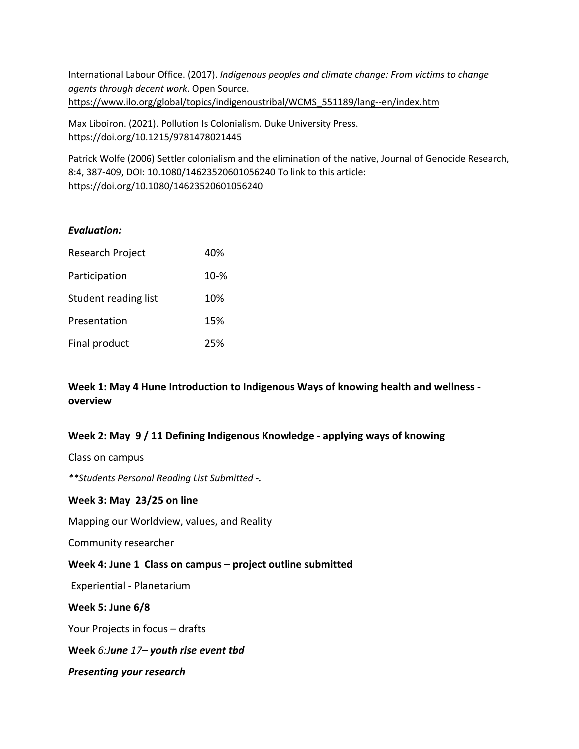International Labour Office. (2017). *Indigenous peoples and climate change: From victims to change agents through decent work*. Open Source. https://www.ilo.org/global/topics/indigenoustribal/WCMS\_551189/lang--en/index.htm

Max Liboiron. (2021). Pollution Is Colonialism. Duke University Press. https://doi.org/10.1215/9781478021445

Patrick Wolfe (2006) Settler colonialism and the elimination of the native, Journal of Genocide Research, 8:4, 387-409, DOI: 10.1080/14623520601056240 To link to this article: https://doi.org/10.1080/14623520601056240

#### *Evaluation:*

| Research Project     | 40%      |
|----------------------|----------|
| Participation        | $10 - %$ |
| Student reading list | 10%      |
| Presentation         | 15%      |
| Final product        | 25%      |

## **Week 1: May 4 Hune Introduction to Indigenous Ways of knowing health and wellness overview**

### **Week 2: May 9 / 11 Defining Indigenous Knowledge - applying ways of knowing**

Class on campus

*\*\*Students Personal Reading List Submitted -.*

#### **Week 3: May 23/25 on line**

Mapping our Worldview, values, and Reality

Community researcher

### **Week 4: June 1 Class on campus – project outline submitted**

Experiential - Planetarium

### **Week 5: June 6/8**

Your Projects in focus – drafts

### **Week** *6:June 17– youth rise event tbd*

*Presenting your research*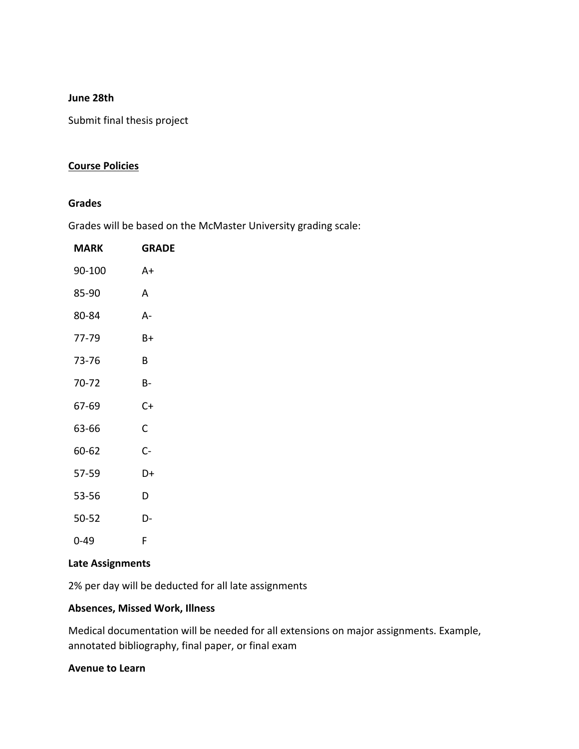#### **June 28th**

Submit final thesis project

#### **Course Policies**

#### **Grades**

Grades will be based on the McMaster University grading scale:

| MARK      | <b>GRADE</b> |
|-----------|--------------|
| 90-100    | A+           |
| 85-90     | A            |
| 80-84     | А-           |
| 77-79     | B+           |
| 73-76     | B.           |
| 70-72     | В-           |
| 67-69     | C+           |
| 63-66     | C            |
| 60-62     | $C -$        |
| 57-59     | D+           |
| 53-56     | D            |
| $50 - 52$ | D-           |
| 0-49      | F            |

# **Late Assignments**

2% per day will be deducted for all late assignments

#### **Absences, Missed Work, Illness**

Medical documentation will be needed for all extensions on major assignments. Example, annotated bibliography, final paper, or final exam

#### **Avenue to Learn**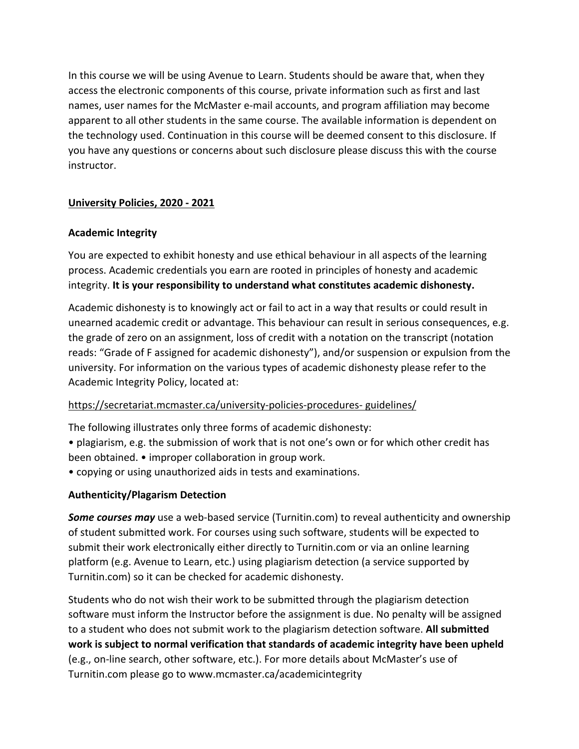In this course we will be using Avenue to Learn. Students should be aware that, when they access the electronic components of this course, private information such as first and last names, user names for the McMaster e-mail accounts, and program affiliation may become apparent to all other students in the same course. The available information is dependent on the technology used. Continuation in this course will be deemed consent to this disclosure. If you have any questions or concerns about such disclosure please discuss this with the course instructor.

## **University Policies, 2020 - 2021**

### **Academic Integrity**

You are expected to exhibit honesty and use ethical behaviour in all aspects of the learning process. Academic credentials you earn are rooted in principles of honesty and academic integrity. **It is your responsibility to understand what constitutes academic dishonesty.**

Academic dishonesty is to knowingly act or fail to act in a way that results or could result in unearned academic credit or advantage. This behaviour can result in serious consequences, e.g. the grade of zero on an assignment, loss of credit with a notation on the transcript (notation reads: "Grade of F assigned for academic dishonesty"), and/or suspension or expulsion from the university. For information on the various types of academic dishonesty please refer to the Academic Integrity Policy, located at:

### https://secretariat.mcmaster.ca/university-policies-procedures- guidelines/

The following illustrates only three forms of academic dishonesty:

- plagiarism, e.g. the submission of work that is not one's own or for which other credit has been obtained. • improper collaboration in group work.
- copying or using unauthorized aids in tests and examinations.

# **Authenticity/Plagarism Detection**

*Some courses may* use a web-based service (Turnitin.com) to reveal authenticity and ownership of student submitted work. For courses using such software, students will be expected to submit their work electronically either directly to Turnitin.com or via an online learning platform (e.g. Avenue to Learn, etc.) using plagiarism detection (a service supported by Turnitin.com) so it can be checked for academic dishonesty.

Students who do not wish their work to be submitted through the plagiarism detection software must inform the Instructor before the assignment is due. No penalty will be assigned to a student who does not submit work to the plagiarism detection software. **All submitted work is subject to normal verification that standards of academic integrity have been upheld** (e.g., on-line search, other software, etc.). For more details about McMaster's use of Turnitin.com please go to www.mcmaster.ca/academicintegrity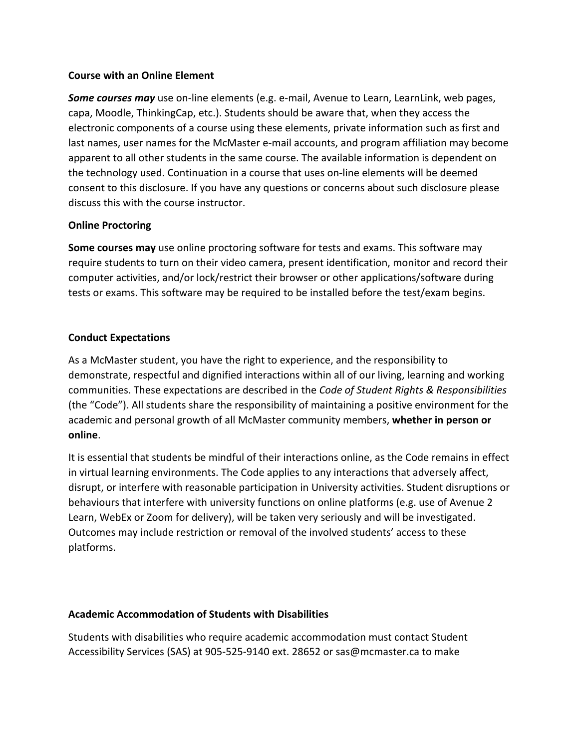### **Course with an Online Element**

*Some courses may* use on-line elements (e.g. e-mail, Avenue to Learn, LearnLink, web pages, capa, Moodle, ThinkingCap, etc.). Students should be aware that, when they access the electronic components of a course using these elements, private information such as first and last names, user names for the McMaster e-mail accounts, and program affiliation may become apparent to all other students in the same course. The available information is dependent on the technology used. Continuation in a course that uses on-line elements will be deemed consent to this disclosure. If you have any questions or concerns about such disclosure please discuss this with the course instructor.

## **Online Proctoring**

**Some courses may** use online proctoring software for tests and exams. This software may require students to turn on their video camera, present identification, monitor and record their computer activities, and/or lock/restrict their browser or other applications/software during tests or exams. This software may be required to be installed before the test/exam begins.

# **Conduct Expectations**

As a McMaster student, you have the right to experience, and the responsibility to demonstrate, respectful and dignified interactions within all of our living, learning and working communities. These expectations are described in the *Code of Student Rights & Responsibilities* (the "Code"). All students share the responsibility of maintaining a positive environment for the academic and personal growth of all McMaster community members, **whether in person or online**.

It is essential that students be mindful of their interactions online, as the Code remains in effect in virtual learning environments. The Code applies to any interactions that adversely affect, disrupt, or interfere with reasonable participation in University activities. Student disruptions or behaviours that interfere with university functions on online platforms (e.g. use of Avenue 2 Learn, WebEx or Zoom for delivery), will be taken very seriously and will be investigated. Outcomes may include restriction or removal of the involved students' access to these platforms.

# **Academic Accommodation of Students with Disabilities**

Students with disabilities who require academic accommodation must contact Student Accessibility Services (SAS) at 905-525-9140 ext. 28652 or sas@mcmaster.ca to make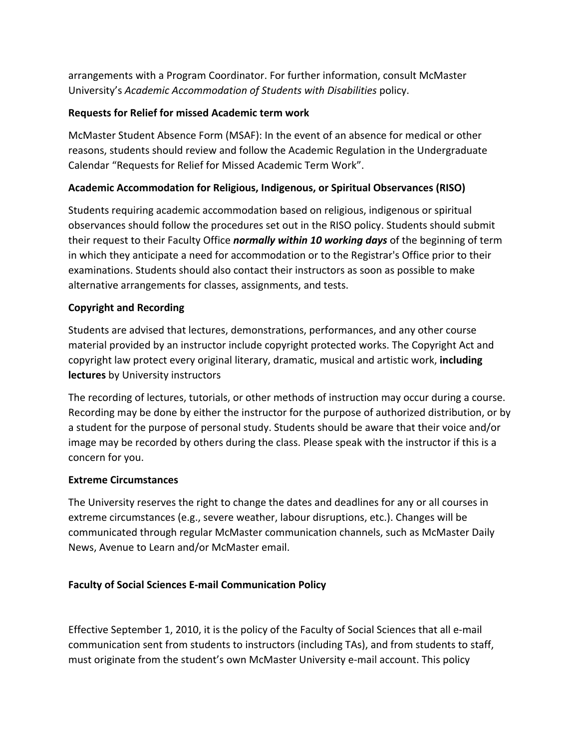arrangements with a Program Coordinator. For further information, consult McMaster University's *Academic Accommodation of Students with Disabilities* policy.

# **Requests for Relief for missed Academic term work**

McMaster Student Absence Form (MSAF): In the event of an absence for medical or other reasons, students should review and follow the Academic Regulation in the Undergraduate Calendar "Requests for Relief for Missed Academic Term Work".

# **Academic Accommodation for Religious, Indigenous, or Spiritual Observances (RISO)**

Students requiring academic accommodation based on religious, indigenous or spiritual observances should follow the procedures set out in the RISO policy. Students should submit their request to their Faculty Office *normally within 10 working days* of the beginning of term in which they anticipate a need for accommodation or to the Registrar's Office prior to their examinations. Students should also contact their instructors as soon as possible to make alternative arrangements for classes, assignments, and tests.

## **Copyright and Recording**

Students are advised that lectures, demonstrations, performances, and any other course material provided by an instructor include copyright protected works. The Copyright Act and copyright law protect every original literary, dramatic, musical and artistic work, **including lectures** by University instructors

The recording of lectures, tutorials, or other methods of instruction may occur during a course. Recording may be done by either the instructor for the purpose of authorized distribution, or by a student for the purpose of personal study. Students should be aware that their voice and/or image may be recorded by others during the class. Please speak with the instructor if this is a concern for you.

### **Extreme Circumstances**

The University reserves the right to change the dates and deadlines for any or all courses in extreme circumstances (e.g., severe weather, labour disruptions, etc.). Changes will be communicated through regular McMaster communication channels, such as McMaster Daily News, Avenue to Learn and/or McMaster email.

# **Faculty of Social Sciences E-mail Communication Policy**

Effective September 1, 2010, it is the policy of the Faculty of Social Sciences that all e-mail communication sent from students to instructors (including TAs), and from students to staff, must originate from the student's own McMaster University e-mail account. This policy